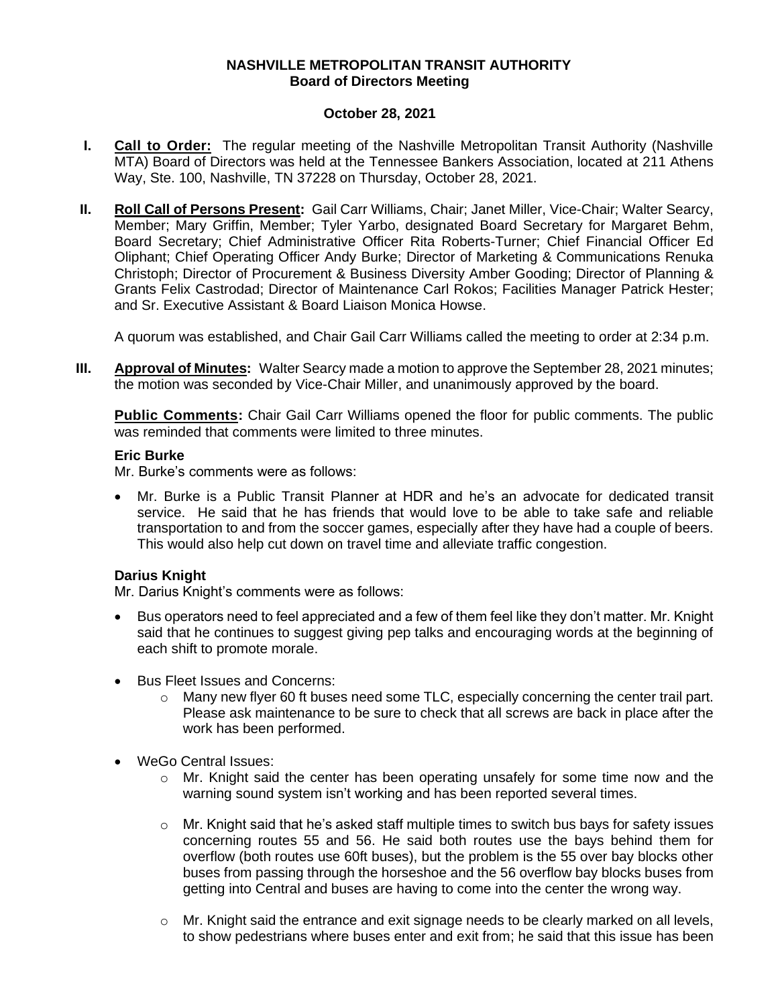### **NASHVILLE METROPOLITAN TRANSIT AUTHORITY Board of Directors Meeting**

### **October 28, 2021**

- **I. Call to Order:** The regular meeting of the Nashville Metropolitan Transit Authority (Nashville MTA) Board of Directors was held at the Tennessee Bankers Association, located at 211 Athens Way, Ste. 100, Nashville, TN 37228 on Thursday, October 28, 2021.
- **II. Roll Call of Persons Present:** Gail Carr Williams, Chair; Janet Miller, Vice-Chair; Walter Searcy, Member; Mary Griffin, Member; Tyler Yarbo, designated Board Secretary for Margaret Behm, Board Secretary; Chief Administrative Officer Rita Roberts-Turner; Chief Financial Officer Ed Oliphant; Chief Operating Officer Andy Burke; Director of Marketing & Communications Renuka Christoph; Director of Procurement & Business Diversity Amber Gooding; Director of Planning & Grants Felix Castrodad; Director of Maintenance Carl Rokos; Facilities Manager Patrick Hester; and Sr. Executive Assistant & Board Liaison Monica Howse.

A quorum was established, and Chair Gail Carr Williams called the meeting to order at 2:34 p.m.

**III. Approval of Minutes:** Walter Searcy made a motion to approve the September 28, 2021 minutes; the motion was seconded by Vice-Chair Miller, and unanimously approved by the board.

**Public Comments:** Chair Gail Carr Williams opened the floor for public comments. The public was reminded that comments were limited to three minutes.

#### **Eric Burke**

Mr. Burke's comments were as follows:

• Mr. Burke is a Public Transit Planner at HDR and he's an advocate for dedicated transit service. He said that he has friends that would love to be able to take safe and reliable transportation to and from the soccer games, especially after they have had a couple of beers. This would also help cut down on travel time and alleviate traffic congestion.

# **Darius Knight**

Mr. Darius Knight's comments were as follows:

- Bus operators need to feel appreciated and a few of them feel like they don't matter. Mr. Knight said that he continues to suggest giving pep talks and encouraging words at the beginning of each shift to promote morale.
- Bus Fleet Issues and Concerns:
	- $\circ$  Many new flyer 60 ft buses need some TLC, especially concerning the center trail part. Please ask maintenance to be sure to check that all screws are back in place after the work has been performed.
- WeGo Central Issues:
	- o Mr. Knight said the center has been operating unsafely for some time now and the warning sound system isn't working and has been reported several times.
	- $\circ$  Mr. Knight said that he's asked staff multiple times to switch bus bays for safety issues concerning routes 55 and 56. He said both routes use the bays behind them for overflow (both routes use 60ft buses), but the problem is the 55 over bay blocks other buses from passing through the horseshoe and the 56 overflow bay blocks buses from getting into Central and buses are having to come into the center the wrong way.
	- o Mr. Knight said the entrance and exit signage needs to be clearly marked on all levels, to show pedestrians where buses enter and exit from; he said that this issue has been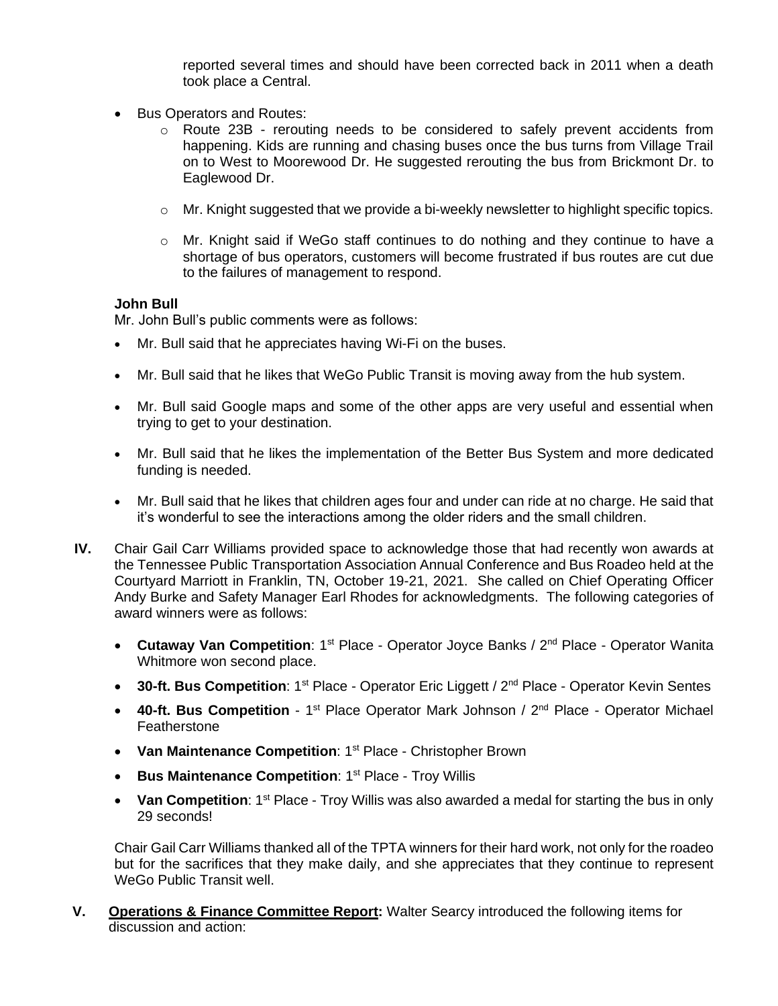reported several times and should have been corrected back in 2011 when a death took place a Central.

- Bus Operators and Routes:
	- o Route 23B rerouting needs to be considered to safely prevent accidents from happening. Kids are running and chasing buses once the bus turns from Village Trail on to West to Moorewood Dr. He suggested rerouting the bus from Brickmont Dr. to Eaglewood Dr.
	- o Mr. Knight suggested that we provide a bi-weekly newsletter to highlight specific topics.
	- o Mr. Knight said if WeGo staff continues to do nothing and they continue to have a shortage of bus operators, customers will become frustrated if bus routes are cut due to the failures of management to respond.

### **John Bull**

Mr. John Bull's public comments were as follows:

- Mr. Bull said that he appreciates having Wi-Fi on the buses.
- Mr. Bull said that he likes that WeGo Public Transit is moving away from the hub system.
- Mr. Bull said Google maps and some of the other apps are very useful and essential when trying to get to your destination.
- Mr. Bull said that he likes the implementation of the Better Bus System and more dedicated funding is needed.
- Mr. Bull said that he likes that children ages four and under can ride at no charge. He said that it's wonderful to see the interactions among the older riders and the small children.
- **IV.** Chair Gail Carr Williams provided space to acknowledge those that had recently won awards at the Tennessee Public Transportation Association Annual Conference and Bus Roadeo held at the Courtyard Marriott in Franklin, TN, October 19-21, 2021. She called on Chief Operating Officer Andy Burke and Safety Manager Earl Rhodes for acknowledgments. The following categories of award winners were as follows:
	- **Cutaway Van Competition**: 1<sup>st</sup> Place Operator Joyce Banks / 2<sup>nd</sup> Place Operator Wanita Whitmore won second place.
	- **30-ft. Bus Competition**: 1<sup>st</sup> Place Operator Eric Liggett / 2<sup>nd</sup> Place Operator Kevin Sentes
	- **40-ft. Bus Competition** 1<sup>st</sup> Place Operator Mark Johnson / 2<sup>nd</sup> Place Operator Michael Featherstone
	- **Van Maintenance Competition**: 1<sup>st</sup> Place Christopher Brown
	- **Bus Maintenance Competition: 1<sup>st</sup> Place Troy Willis**
	- Van Competition: 1<sup>st</sup> Place Troy Willis was also awarded a medal for starting the bus in only 29 seconds!

Chair Gail Carr Williams thanked all of the TPTA winners for their hard work, not only for the roadeo but for the sacrifices that they make daily, and she appreciates that they continue to represent WeGo Public Transit well.

**V. Operations & Finance Committee Report:** Walter Searcy introduced the following items for discussion and action: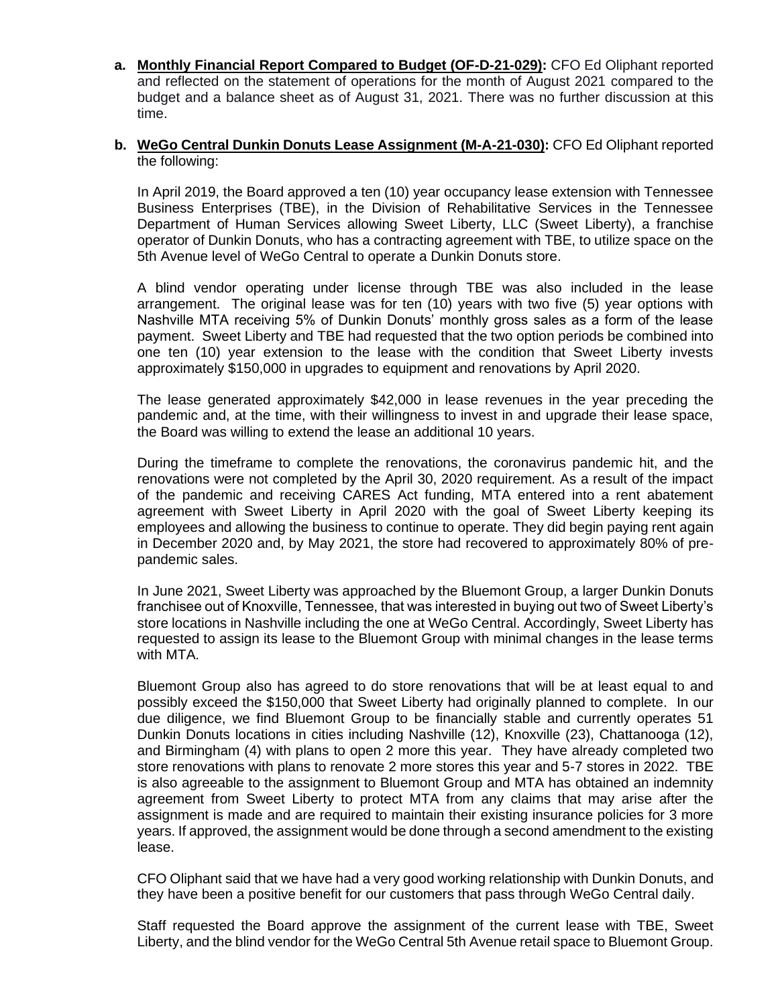**a. Monthly Financial Report Compared to Budget (OF-D-21-029):** CFO Ed Oliphant reported and reflected on the statement of operations for the month of August 2021 compared to the budget and a balance sheet as of August 31, 2021. There was no further discussion at this time.

### **b. WeGo Central Dunkin Donuts Lease Assignment (M-A-21-030):** CFO Ed Oliphant reported the following:

In April 2019, the Board approved a ten (10) year occupancy lease extension with Tennessee Business Enterprises (TBE), in the Division of Rehabilitative Services in the Tennessee Department of Human Services allowing Sweet Liberty, LLC (Sweet Liberty), a franchise operator of Dunkin Donuts, who has a contracting agreement with TBE, to utilize space on the 5th Avenue level of WeGo Central to operate a Dunkin Donuts store.

A blind vendor operating under license through TBE was also included in the lease arrangement. The original lease was for ten (10) years with two five (5) year options with Nashville MTA receiving 5% of Dunkin Donuts' monthly gross sales as a form of the lease payment. Sweet Liberty and TBE had requested that the two option periods be combined into one ten (10) year extension to the lease with the condition that Sweet Liberty invests approximately \$150,000 in upgrades to equipment and renovations by April 2020.

The lease generated approximately \$42,000 in lease revenues in the year preceding the pandemic and, at the time, with their willingness to invest in and upgrade their lease space, the Board was willing to extend the lease an additional 10 years.

During the timeframe to complete the renovations, the coronavirus pandemic hit, and the renovations were not completed by the April 30, 2020 requirement. As a result of the impact of the pandemic and receiving CARES Act funding, MTA entered into a rent abatement agreement with Sweet Liberty in April 2020 with the goal of Sweet Liberty keeping its employees and allowing the business to continue to operate. They did begin paying rent again in December 2020 and, by May 2021, the store had recovered to approximately 80% of prepandemic sales.

In June 2021, Sweet Liberty was approached by the Bluemont Group, a larger Dunkin Donuts franchisee out of Knoxville, Tennessee, that was interested in buying out two of Sweet Liberty's store locations in Nashville including the one at WeGo Central. Accordingly, Sweet Liberty has requested to assign its lease to the Bluemont Group with minimal changes in the lease terms with MTA.

Bluemont Group also has agreed to do store renovations that will be at least equal to and possibly exceed the \$150,000 that Sweet Liberty had originally planned to complete. In our due diligence, we find Bluemont Group to be financially stable and currently operates 51 Dunkin Donuts locations in cities including Nashville (12), Knoxville (23), Chattanooga (12), and Birmingham (4) with plans to open 2 more this year. They have already completed two store renovations with plans to renovate 2 more stores this year and 5-7 stores in 2022. TBE is also agreeable to the assignment to Bluemont Group and MTA has obtained an indemnity agreement from Sweet Liberty to protect MTA from any claims that may arise after the assignment is made and are required to maintain their existing insurance policies for 3 more years. If approved, the assignment would be done through a second amendment to the existing lease.

CFO Oliphant said that we have had a very good working relationship with Dunkin Donuts, and they have been a positive benefit for our customers that pass through WeGo Central daily.

Staff requested the Board approve the assignment of the current lease with TBE, Sweet Liberty, and the blind vendor for the WeGo Central 5th Avenue retail space to Bluemont Group.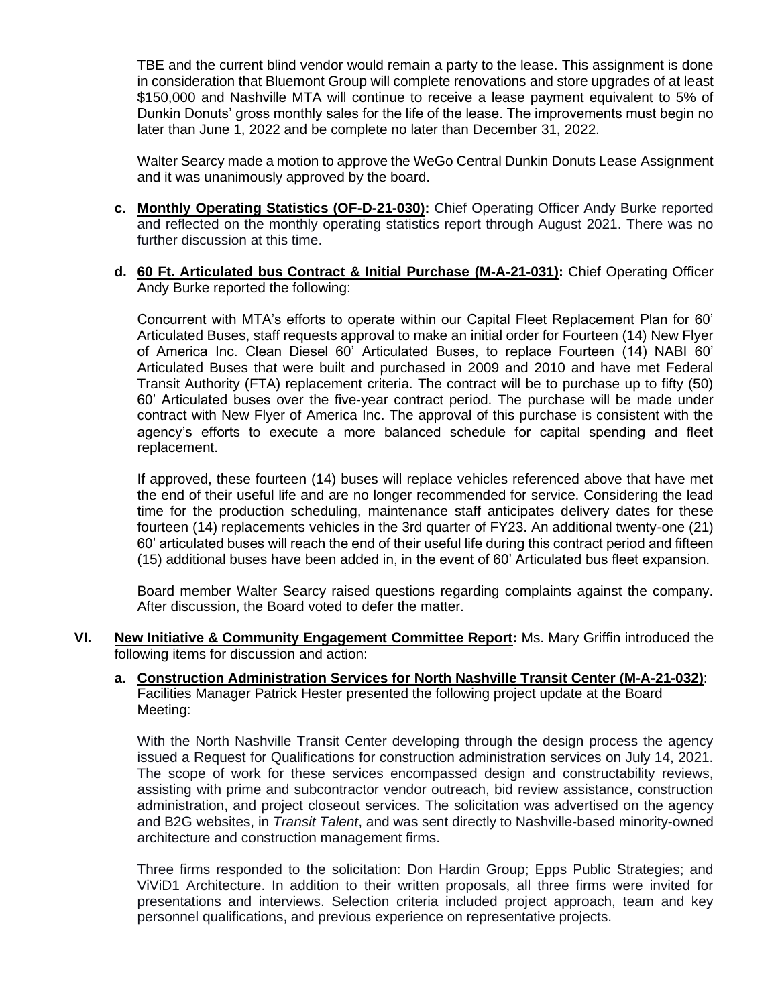TBE and the current blind vendor would remain a party to the lease. This assignment is done in consideration that Bluemont Group will complete renovations and store upgrades of at least \$150,000 and Nashville MTA will continue to receive a lease payment equivalent to 5% of Dunkin Donuts' gross monthly sales for the life of the lease. The improvements must begin no later than June 1, 2022 and be complete no later than December 31, 2022.

Walter Searcy made a motion to approve the WeGo Central Dunkin Donuts Lease Assignment and it was unanimously approved by the board.

- **c. Monthly Operating Statistics (OF-D-21-030):** Chief Operating Officer Andy Burke reported and reflected on the monthly operating statistics report through August 2021. There was no further discussion at this time.
- **d. 60 Ft. Articulated bus Contract & Initial Purchase (M-A-21-031):** Chief Operating Officer Andy Burke reported the following:

Concurrent with MTA's efforts to operate within our Capital Fleet Replacement Plan for 60' Articulated Buses, staff requests approval to make an initial order for Fourteen (14) New Flyer of America Inc. Clean Diesel 60' Articulated Buses, to replace Fourteen (14) NABI 60' Articulated Buses that were built and purchased in 2009 and 2010 and have met Federal Transit Authority (FTA) replacement criteria. The contract will be to purchase up to fifty (50) 60' Articulated buses over the five-year contract period. The purchase will be made under contract with New Flyer of America Inc. The approval of this purchase is consistent with the agency's efforts to execute a more balanced schedule for capital spending and fleet replacement.

If approved, these fourteen (14) buses will replace vehicles referenced above that have met the end of their useful life and are no longer recommended for service. Considering the lead time for the production scheduling, maintenance staff anticipates delivery dates for these fourteen (14) replacements vehicles in the 3rd quarter of FY23. An additional twenty-one (21) 60' articulated buses will reach the end of their useful life during this contract period and fifteen (15) additional buses have been added in, in the event of 60' Articulated bus fleet expansion.

Board member Walter Searcy raised questions regarding complaints against the company. After discussion, the Board voted to defer the matter.

- **VI. New Initiative & Community Engagement Committee Report:** Ms. Mary Griffin introduced the following items for discussion and action:
	- **a. Construction Administration Services for North Nashville Transit Center (M-A-21-032)**: Facilities Manager Patrick Hester presented the following project update at the Board Meeting:

With the North Nashville Transit Center developing through the design process the agency issued a Request for Qualifications for construction administration services on July 14, 2021. The scope of work for these services encompassed design and constructability reviews, assisting with prime and subcontractor vendor outreach, bid review assistance, construction administration, and project closeout services. The solicitation was advertised on the agency and B2G websites, in *Transit Talent*, and was sent directly to Nashville-based minority-owned architecture and construction management firms.

Three firms responded to the solicitation: Don Hardin Group; Epps Public Strategies; and ViViD1 Architecture. In addition to their written proposals, all three firms were invited for presentations and interviews. Selection criteria included project approach, team and key personnel qualifications, and previous experience on representative projects.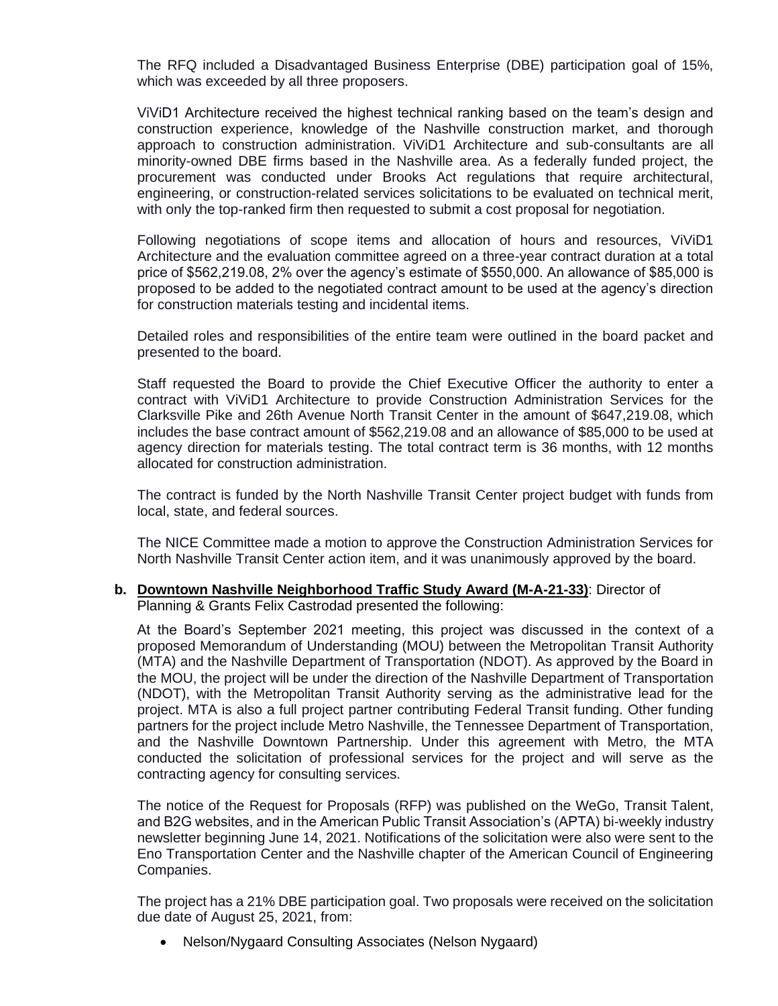The RFQ included a Disadvantaged Business Enterprise (DBE) participation goal of 15%, which was exceeded by all three proposers.

ViViD1 Architecture received the highest technical ranking based on the team's design and construction experience, knowledge of the Nashville construction market, and thorough approach to construction administration. ViViD1 Architecture and sub-consultants are all minority-owned DBE firms based in the Nashville area. As a federally funded project, the procurement was conducted under Brooks Act regulations that require architectural, engineering, or construction-related services solicitations to be evaluated on technical merit, with only the top-ranked firm then requested to submit a cost proposal for negotiation.

Following negotiations of scope items and allocation of hours and resources, ViViD1 Architecture and the evaluation committee agreed on a three-year contract duration at a total price of \$562,219.08, 2% over the agency's estimate of \$550,000. An allowance of \$85,000 is proposed to be added to the negotiated contract amount to be used at the agency's direction for construction materials testing and incidental items.

Detailed roles and responsibilities of the entire team were outlined in the board packet and presented to the board.

Staff requested the Board to provide the Chief Executive Officer the authority to enter a contract with ViViD1 Architecture to provide Construction Administration Services for the Clarksville Pike and 26th Avenue North Transit Center in the amount of \$647,219.08, which includes the base contract amount of \$562,219.08 and an allowance of \$85,000 to be used at agency direction for materials testing. The total contract term is 36 months, with 12 months allocated for construction administration.

The contract is funded by the North Nashville Transit Center project budget with funds from local, state, and federal sources.

The NICE Committee made a motion to approve the Construction Administration Services for North Nashville Transit Center action item, and it was unanimously approved by the board.

#### **b. Downtown Nashville Neighborhood Traffic Study Award (M-A-21-33)**: Director of Planning & Grants Felix Castrodad presented the following:

At the Board's September 2021 meeting, this project was discussed in the context of a proposed Memorandum of Understanding (MOU) between the Metropolitan Transit Authority (MTA) and the Nashville Department of Transportation (NDOT). As approved by the Board in the MOU, the project will be under the direction of the Nashville Department of Transportation (NDOT), with the Metropolitan Transit Authority serving as the administrative lead for the project. MTA is also a full project partner contributing Federal Transit funding. Other funding partners for the project include Metro Nashville, the Tennessee Department of Transportation, and the Nashville Downtown Partnership. Under this agreement with Metro, the MTA conducted the solicitation of professional services for the project and will serve as the contracting agency for consulting services.

The notice of the Request for Proposals (RFP) was published on the WeGo, Transit Talent, and B2G websites, and in the American Public Transit Association's (APTA) bi-weekly industry newsletter beginning June 14, 2021. Notifications of the solicitation were also were sent to the Eno Transportation Center and the Nashville chapter of the American Council of Engineering Companies.

The project has a 21% DBE participation goal. Two proposals were received on the solicitation due date of August 25, 2021, from:

• Nelson/Nygaard Consulting Associates (Nelson Nygaard)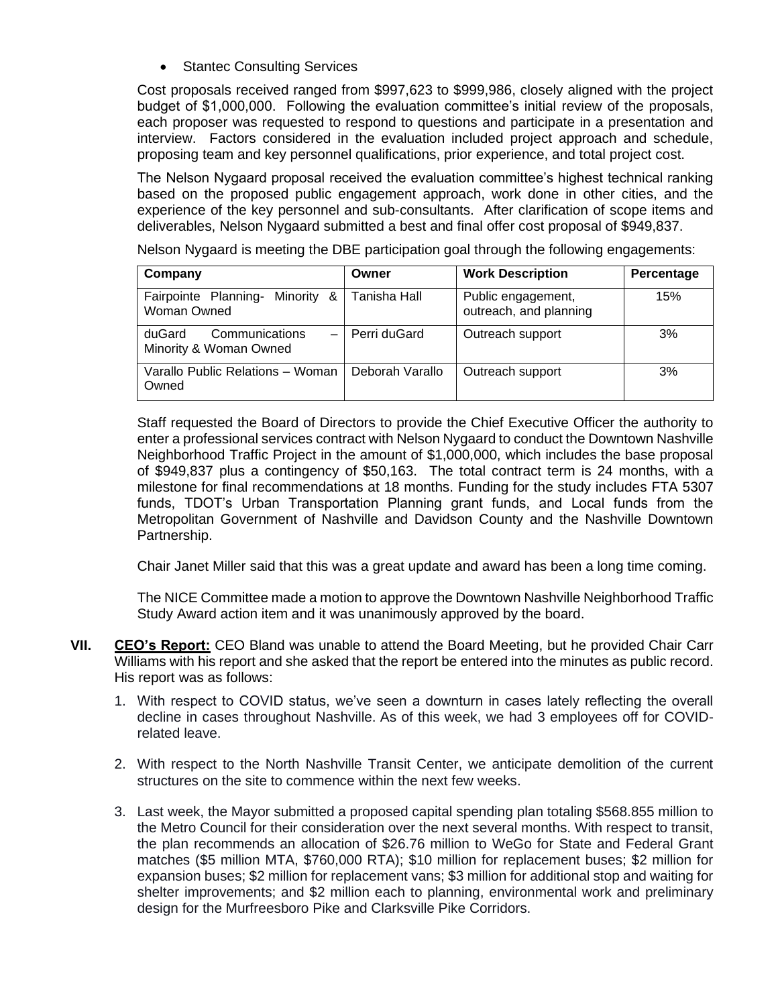• Stantec Consulting Services

Cost proposals received ranged from \$997,623 to \$999,986, closely aligned with the project budget of \$1,000,000. Following the evaluation committee's initial review of the proposals, each proposer was requested to respond to questions and participate in a presentation and interview. Factors considered in the evaluation included project approach and schedule, proposing team and key personnel qualifications, prior experience, and total project cost.

The Nelson Nygaard proposal received the evaluation committee's highest technical ranking based on the proposed public engagement approach, work done in other cities, and the experience of the key personnel and sub-consultants. After clarification of scope items and deliverables, Nelson Nygaard submitted a best and final offer cost proposal of \$949,837.

Nelson Nygaard is meeting the DBE participation goal through the following engagements:

| Company                                                        | Owner           | <b>Work Description</b>                      | Percentage |
|----------------------------------------------------------------|-----------------|----------------------------------------------|------------|
| Fairpointe Planning-<br>Minority &<br>Woman Owned              | Tanisha Hall    | Public engagement,<br>outreach, and planning | 15%        |
| Communications<br>duGard<br>$\equiv$<br>Minority & Woman Owned | l Perri duGard  | Outreach support                             | 3%         |
| Varallo Public Relations - Woman<br>Owned                      | Deborah Varallo | Outreach support                             | 3%         |

Staff requested the Board of Directors to provide the Chief Executive Officer the authority to enter a professional services contract with Nelson Nygaard to conduct the Downtown Nashville Neighborhood Traffic Project in the amount of \$1,000,000, which includes the base proposal of \$949,837 plus a contingency of \$50,163. The total contract term is 24 months, with a milestone for final recommendations at 18 months. Funding for the study includes FTA 5307 funds, TDOT's Urban Transportation Planning grant funds, and Local funds from the Metropolitan Government of Nashville and Davidson County and the Nashville Downtown Partnership.

Chair Janet Miller said that this was a great update and award has been a long time coming.

The NICE Committee made a motion to approve the Downtown Nashville Neighborhood Traffic Study Award action item and it was unanimously approved by the board.

- **VII. CEO's Report:** CEO Bland was unable to attend the Board Meeting, but he provided Chair Carr Williams with his report and she asked that the report be entered into the minutes as public record. His report was as follows:
	- 1. With respect to COVID status, we've seen a downturn in cases lately reflecting the overall decline in cases throughout Nashville. As of this week, we had 3 employees off for COVIDrelated leave.
	- 2. With respect to the North Nashville Transit Center, we anticipate demolition of the current structures on the site to commence within the next few weeks.
	- 3. Last week, the Mayor submitted a proposed capital spending plan totaling \$568.855 million to the Metro Council for their consideration over the next several months. With respect to transit, the plan recommends an allocation of \$26.76 million to WeGo for State and Federal Grant matches (\$5 million MTA, \$760,000 RTA); \$10 million for replacement buses; \$2 million for expansion buses; \$2 million for replacement vans; \$3 million for additional stop and waiting for shelter improvements; and \$2 million each to planning, environmental work and preliminary design for the Murfreesboro Pike and Clarksville Pike Corridors.